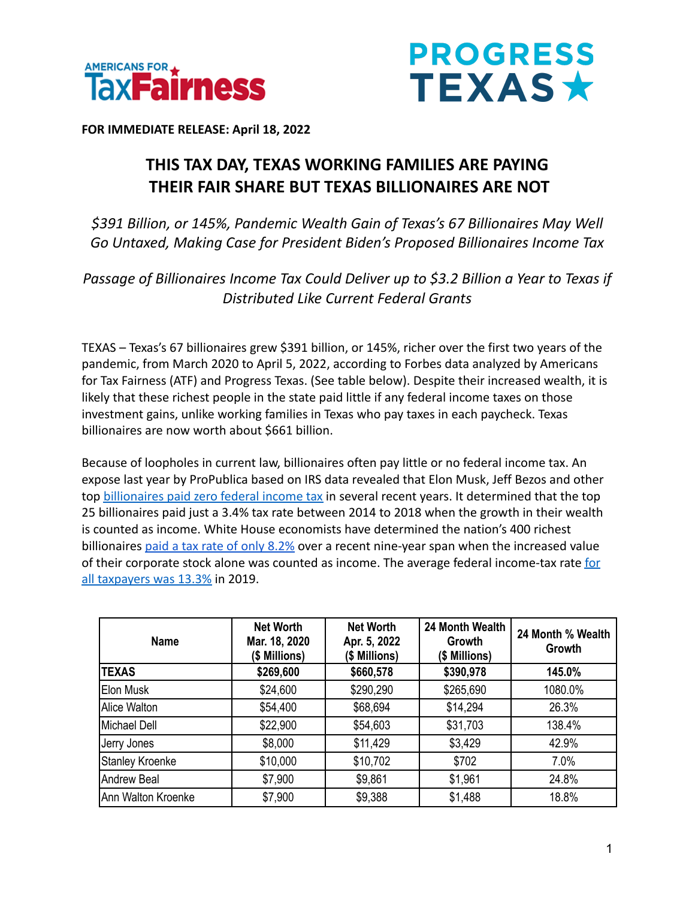



**FOR IMMEDIATE RELEASE: April 18, 2022**

## **THIS TAX DAY, TEXAS WORKING FAMILIES ARE PAYING THEIR FAIR SHARE BUT TEXAS BILLIONAIRES ARE NOT**

*\$391 Billion, or 145%, Pandemic Wealth Gain of Texas's 67 Billionaires May Well Go Untaxed, Making Case for President Biden's Proposed Billionaires Income Tax*

*Passage of Billionaires Income Tax Could Deliver up to \$3.2 Billion a Year to Texas if Distributed Like Current Federal Grants*

TEXAS – Texas's 67 billionaires grew \$391 billion, or 145%, richer over the first two years of the pandemic, from March 2020 to April 5, 2022, according to Forbes data analyzed by Americans for Tax Fairness (ATF) and Progress Texas. (See table below). Despite their increased wealth, it is likely that these richest people in the state paid little if any federal income taxes on those investment gains, unlike working families in Texas who pay taxes in each paycheck. Texas billionaires are now worth about \$661 billion.

Because of loopholes in current law, billionaires often pay little or no federal income tax. An expose last year by ProPublica based on IRS data revealed that Elon Musk, Jeff Bezos and other top [billionaires paid zero federal income tax](https://americansfortaxfairness.org/wp-content/uploads/ProPublica-Billionaires-Fact-Sheet-Updated.pdf) in several recent years. It determined that the top 25 billionaires paid just a 3.4% tax rate between 2014 to 2018 when the growth in their wealth is counted as income. White House economists have determined the nation's 400 richest billionaires [paid a tax rate of only 8.2%](https://www.whitehouse.gov/cea/written-materials/2021/09/23/what-is-the-average-federal-individual-income-tax-rate-on-the-wealthiest-americans/) over a recent nine-year span when the increased value of their corporate stock alone was counted as income. The average federal income-tax rate [for](https://taxfoundation.org/summary-latest-federal-income-tax-data-2022-update/) [all taxpayers was 13.3%](https://taxfoundation.org/summary-latest-federal-income-tax-data-2022-update/) in 2019.

| <b>Name</b>        | <b>Net Worth</b><br>Mar. 18, 2020<br>(\$ Millions) | <b>Net Worth</b><br>Apr. 5, 2022<br>(\$ Millions) | 24 Month Wealth<br>Growth<br>(\$ Millions) | 24 Month % Wealth<br>Growth |
|--------------------|----------------------------------------------------|---------------------------------------------------|--------------------------------------------|-----------------------------|
| <b>TEXAS</b>       | \$269,600                                          | \$660,578                                         | \$390,978                                  | 145.0%                      |
| Elon Musk          | \$24,600                                           | \$290,290                                         | \$265,690                                  | 1080.0%                     |
| Alice Walton       | \$54,400                                           | \$68,694                                          | \$14,294                                   | 26.3%                       |
| IMichael Dell      | \$22,900                                           | \$54,603                                          | \$31,703                                   | 138.4%                      |
| Jerry Jones        | \$8,000                                            | \$11,429                                          | \$3,429                                    | 42.9%                       |
| Stanley Kroenke    | \$10,000                                           | \$10,702                                          | \$702                                      | 7.0%                        |
| Andrew Beal        | \$7,900                                            | \$9,861                                           | \$1,961                                    | 24.8%                       |
| Ann Walton Kroenke | \$7,900                                            | \$9,388                                           | \$1,488                                    | 18.8%                       |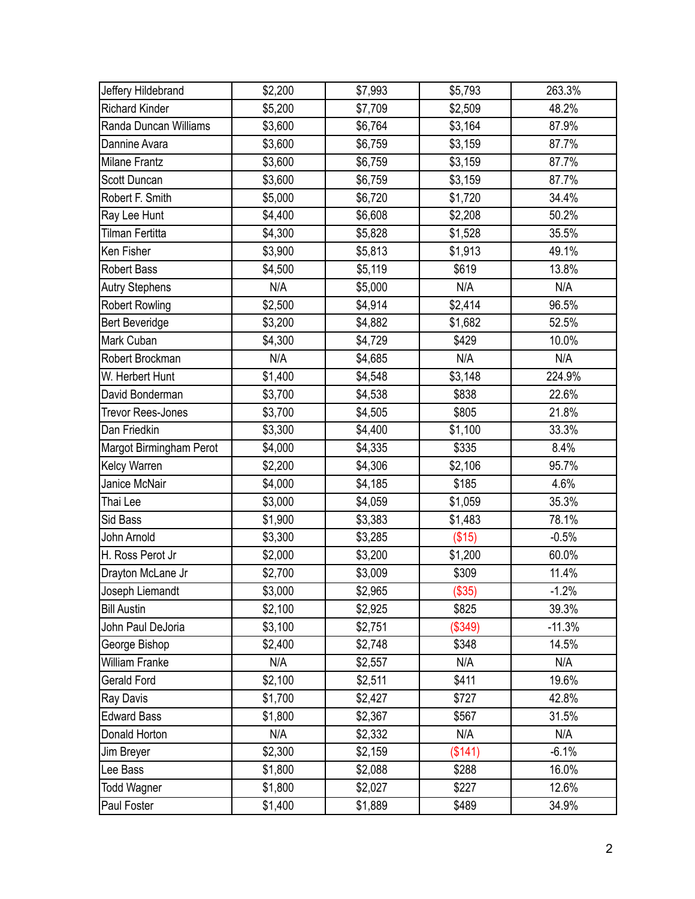| Jeffery Hildebrand      | \$2,200 | \$7,993 | \$5,793 | 263.3%   |
|-------------------------|---------|---------|---------|----------|
| <b>Richard Kinder</b>   | \$5,200 | \$7,709 | \$2,509 | 48.2%    |
| Randa Duncan Williams   | \$3,600 | \$6,764 | \$3,164 | 87.9%    |
| Dannine Avara           | \$3,600 | \$6,759 | \$3,159 | 87.7%    |
| <b>Milane Frantz</b>    | \$3,600 | \$6,759 | \$3,159 | 87.7%    |
| Scott Duncan            | \$3,600 | \$6,759 | \$3,159 | 87.7%    |
| Robert F. Smith         | \$5,000 | \$6,720 | \$1,720 | 34.4%    |
| Ray Lee Hunt            | \$4,400 | \$6,608 | \$2,208 | 50.2%    |
| Tilman Fertitta         | \$4,300 | \$5,828 | \$1,528 | 35.5%    |
| Ken Fisher              | \$3,900 | \$5,813 | \$1,913 | 49.1%    |
| <b>Robert Bass</b>      | \$4,500 | \$5,119 | \$619   | 13.8%    |
| <b>Autry Stephens</b>   | N/A     | \$5,000 | N/A     | N/A      |
| <b>Robert Rowling</b>   | \$2,500 | \$4,914 | \$2,414 | 96.5%    |
| <b>Bert Beveridge</b>   | \$3,200 | \$4,882 | \$1,682 | 52.5%    |
| Mark Cuban              | \$4,300 | \$4,729 | \$429   | 10.0%    |
| Robert Brockman         | N/A     | \$4,685 | N/A     | N/A      |
| W. Herbert Hunt         | \$1,400 | \$4,548 | \$3,148 | 224.9%   |
| David Bonderman         | \$3,700 | \$4,538 | \$838   | 22.6%    |
| Trevor Rees-Jones       | \$3,700 | \$4,505 | \$805   | 21.8%    |
| Dan Friedkin            | \$3,300 | \$4,400 | \$1,100 | 33.3%    |
| Margot Birmingham Perot | \$4,000 | \$4,335 | \$335   | 8.4%     |
| Kelcy Warren            | \$2,200 | \$4,306 | \$2,106 | 95.7%    |
| Janice McNair           | \$4,000 | \$4,185 | \$185   | 4.6%     |
| Thai Lee                | \$3,000 | \$4,059 | \$1,059 | 35.3%    |
| Sid Bass                | \$1,900 | \$3,383 | \$1,483 | 78.1%    |
| John Arnold             | \$3,300 | \$3,285 | (\$15)  | $-0.5%$  |
| H. Ross Perot Jr        | \$2,000 | \$3,200 | \$1,200 | 60.0%    |
| Drayton McLane Jr       | \$2,700 | \$3,009 | \$309   | 11.4%    |
| Joseph Liemandt         | \$3,000 | \$2,965 | (\$35)  | $-1.2%$  |
| <b>Bill Austin</b>      | \$2,100 | \$2,925 | \$825   | 39.3%    |
| John Paul DeJoria       | \$3,100 | \$2,751 | (\$349) | $-11.3%$ |
| George Bishop           | \$2,400 | \$2,748 | \$348   | 14.5%    |
| William Franke          | N/A     | \$2,557 | N/A     | N/A      |
| Gerald Ford             | \$2,100 | \$2,511 | \$411   | 19.6%    |
| Ray Davis               | \$1,700 | \$2,427 | \$727   | 42.8%    |
| <b>Edward Bass</b>      | \$1,800 | \$2,367 | \$567   | 31.5%    |
| Donald Horton           | N/A     | \$2,332 | N/A     | N/A      |
| Jim Breyer              | \$2,300 | \$2,159 | (\$141) | $-6.1%$  |
| Lee Bass                | \$1,800 | \$2,088 | \$288   | 16.0%    |
| Todd Wagner             | \$1,800 | \$2,027 | \$227   | 12.6%    |
| Paul Foster             | \$1,400 | \$1,889 | \$489   | 34.9%    |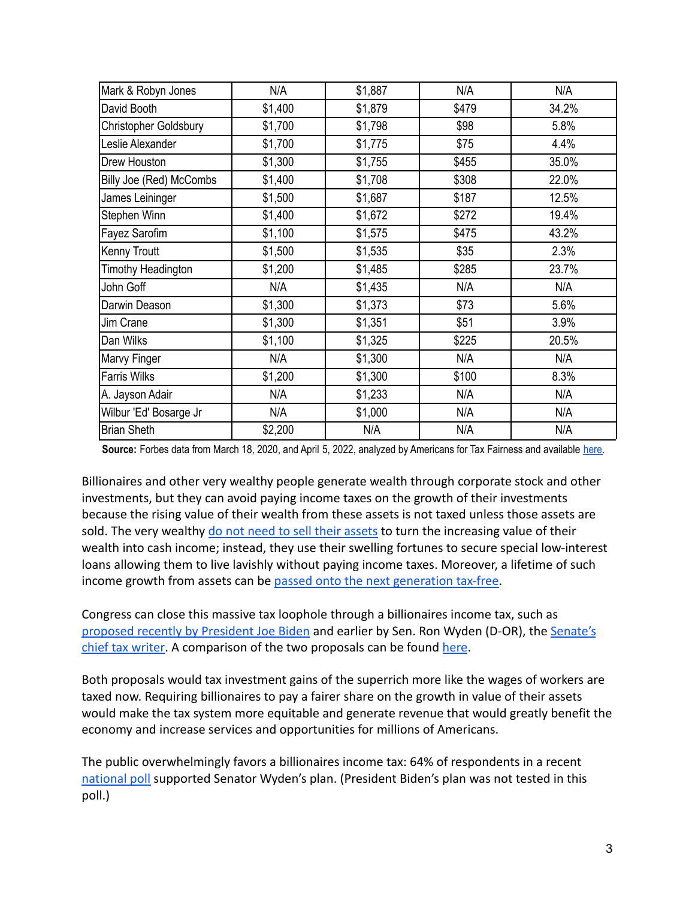| Mark & Robyn Jones      | N/A     | \$1,887 | N/A   | N/A   |
|-------------------------|---------|---------|-------|-------|
| David Booth             | \$1,400 | \$1,879 | \$479 | 34.2% |
| Christopher Goldsbury   | \$1,700 | \$1,798 | \$98  | 5.8%  |
| Leslie Alexander        | \$1,700 | \$1,775 | \$75  | 4.4%  |
| Drew Houston            | \$1,300 | \$1,755 | \$455 | 35.0% |
| Billy Joe (Red) McCombs | \$1,400 | \$1,708 | \$308 | 22.0% |
| James Leininger         | \$1,500 | \$1,687 | \$187 | 12.5% |
| Stephen Winn            | \$1,400 | \$1,672 | \$272 | 19.4% |
| Fayez Sarofim           | \$1,100 | \$1,575 | \$475 | 43.2% |
| Kenny Troutt            | \$1,500 | \$1,535 | \$35  | 2.3%  |
| Timothy Headington      | \$1,200 | \$1,485 | \$285 | 23.7% |
| John Goff               | N/A     | \$1,435 | N/A   | N/A   |
| Darwin Deason           | \$1,300 | \$1,373 | \$73  | 5.6%  |
| Jim Crane               | \$1,300 | \$1,351 | \$51  | 3.9%  |
| Dan Wilks               | \$1,100 | \$1,325 | \$225 | 20.5% |
| Marvy Finger            | N/A     | \$1,300 | N/A   | N/A   |
| <b>Farris Wilks</b>     | \$1,200 | \$1,300 | \$100 | 8.3%  |
| A. Jayson Adair         | N/A     | \$1,233 | N/A   | N/A   |
| Wilbur 'Ed' Bosarge Jr  | N/A     | \$1,000 | N/A   | N/A   |
| <b>Brian Sheth</b>      | \$2,200 | N/A     | N/A   | N/A   |

Source: Forbes data from March 18, 2020, and April 5, 2022, analyzed by Americans for Tax Fairness and available [here.](https://docs.google.com/spreadsheets/d/1MksOhwmIojtZihAmPcfcYeaGoG3FOFZmiKUza1dIRD4/edit?usp=sharing)

Billionaires and other very wealthy people generate wealth through corporate stock and other investments, but they can avoid paying income taxes on the growth of their investments because the rising value of their wealth from these assets is not taxed unless those assets are sold. The very wealthy [do not need to sell their assets](https://www.wsj.com/articles/buy-borrow-die-how-rich-americans-live-off-their-paper-wealth-11625909583) to turn the increasing value of their wealth into cash income; instead, they use their swelling fortunes to secure special low-interest loans allowing them to live lavishly without paying income taxes. Moreover, a lifetime of such income growth from assets can be [passed onto the next](https://americansfortaxfairness.org/issue/stop-protecting-billionaires-close-stepped-basis-loophole/) generation tax-free.

Congress can close this massive tax loophole through a billionaires income tax, such as [proposed recently by President Joe Biden](https://www.nytimes.com/2022/03/28/us/politics/biden-billionaire-tax.html) and earlier by Sen. Ron Wyden (D-OR), the [Senate's](https://www.finance.senate.gov/chairmans-news/wyden-unveils-billionaires-income-tax) [chief tax writer](https://www.finance.senate.gov/chairmans-news/wyden-unveils-billionaires-income-tax). A comparison of the two proposals can be found [here](https://americansfortaxfairness.org/issue/comparison-biden-wyden-billionaires-income-tax-proposals-short/).

Both proposals would tax investment gains of the superrich more like the wages of workers are taxed now. Requiring billionaires to pay a fairer share on the growth in value of their assets would make the tax system more equitable and generate revenue that would greatly benefit the economy and increase services and opportunities for millions of Americans.

The public overwhelmingly favors a billionaires income tax: 64% of respondents in a recen[t](https://docs.google.com/document/d/1AhWvucOLV2qY6izLkZvHpPig6DDmdFaCbmeM-5E65Xw/edit) [national poll](https://docs.google.com/document/d/1AhWvucOLV2qY6izLkZvHpPig6DDmdFaCbmeM-5E65Xw/edit) supported Senator Wyden's plan. (President Biden's plan was not tested in this poll.)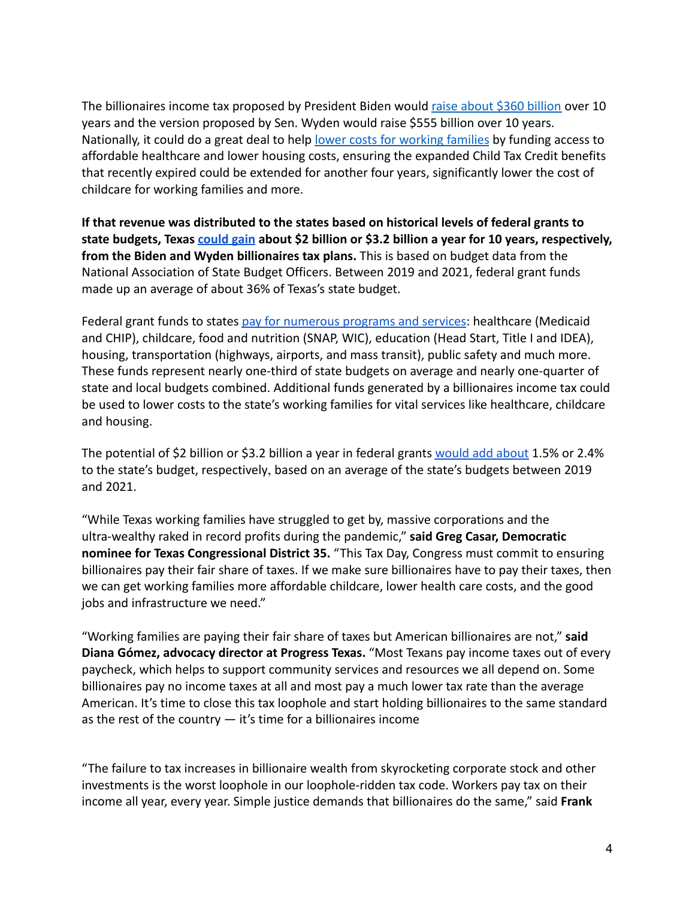The billionaires income tax proposed by President Biden would [raise about \\$360 billion](https://americansfortaxfairness.org/issue/comparison-biden-wyden-billionaires-income-tax-proposals-short/) over 10 years and the version proposed by Sen. Wyden would raise \$555 billion over 10 years. Nationally, it could do a great deal to help lower [costs for working families](https://americansfortaxfairness.org/issue/6-ways-spend-revenue-billionaires-income-tax/) by funding access to affordable healthcare and lower housing costs, ensuring the expanded Child Tax Credit benefits that recently expired could be extended for another four years, significantly lower the cost of childcare for working families and more.

**If that revenue was distributed to the states based on historical levels of federal grants to state budgets, Texas [could gain](https://docs.google.com/spreadsheets/d/1uMGQ0_Ow8ssIrktfYIvIQZwB44zOHf82ILpvh5kzWUI/edit?usp=sharing) about \$2 billion or \$3.2 billion a year for 10 years, respectively, from the Biden and Wyden billionaires tax plans.** This is based on budget data from the National Association of State Budget Officers. Between 2019 and 2021, federal grant funds made up an average of about 36% of Texas's state budget.

Federal grant funds to states [pay for numerous programs](https://www.cbpp.org/research/state-budget-and-tax/federal-aid-to-state-and-local-governments) and services: healthcare (Medicaid and CHIP), childcare, food and nutrition (SNAP, WIC), education (Head Start, Title I and IDEA), housing, transportation (highways, airports, and mass transit), public safety and much more. These funds represent nearly one-third of state budgets on average and nearly one-quarter of state and local budgets combined. Additional funds generated by a billionaires income tax could be used to lower costs to the state's working families for vital services like healthcare, childcare and housing.

The potential of \$2 billion or \$3.2 billion a year in federal grants [would add about](https://docs.google.com/spreadsheets/d/1uMGQ0_Ow8ssIrktfYIvIQZwB44zOHf82ILpvh5kzWUI/edit?usp=sharing) 1.5% or 2.4% to the state's budget, respectively, based on an average of the state's budgets between 2019 and 2021.

"While Texas working families have struggled to get by, massive corporations and the ultra-wealthy raked in record profits during the pandemic," **said Greg Casar, Democratic nominee for Texas Congressional District 35.** "This Tax Day, Congress must commit to ensuring billionaires pay their fair share of taxes. If we make sure billionaires have to pay their taxes, then we can get working families more affordable childcare, lower health care costs, and the good jobs and infrastructure we need."

"Working families are paying their fair share of taxes but American billionaires are not," **said Diana Gómez, advocacy director at Progress Texas.** "Most Texans pay income taxes out of every paycheck, which helps to support community services and resources we all depend on. Some billionaires pay no income taxes at all and most pay a much lower tax rate than the average American. It's time to close this tax loophole and start holding billionaires to the same standard as the rest of the country  $-$  it's time for a billionaires income

"The failure to tax increases in billionaire wealth from skyrocketing corporate stock and other investments is the worst loophole in our loophole-ridden tax code. Workers pay tax on their income all year, every year. Simple justice demands that billionaires do the same," said **Frank**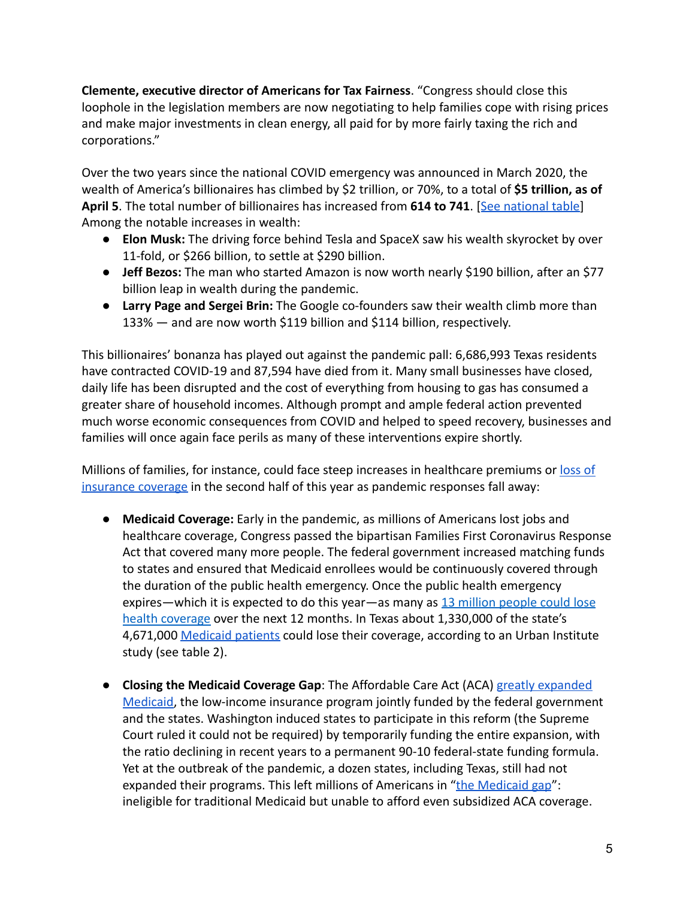**Clemente, executive director of Americans for Tax Fairness**. "Congress should close this loophole in the legislation members are now negotiating to help families cope with rising prices and make major investments in clean energy, all paid for by more fairly taxing the rich and corporations."

Over the two years since the national COVID emergency was announced in March 2020, the wealth of America's billionaires has climbed by \$2 trillion, or 70%, to a total of **\$5 trillion, as of** April 5. The total number of billionaires has increased from 614 to 741. [[See national table](https://docs.google.com/spreadsheets/d/1MksOhwmIojtZihAmPcfcYeaGoG3FOFZmiKUza1dIRD4/edit?usp=sharing)] Among the notable increases in wealth:

- **Elon Musk:** The driving force behind Tesla and SpaceX saw his wealth skyrocket by over 11-fold, or \$266 billion, to settle at \$290 billion.
- **Jeff Bezos:** The man who started Amazon is now worth nearly \$190 billion, after an \$77 billion leap in wealth during the pandemic.
- **Larry Page and Sergei Brin:** The Google co-founders saw their wealth climb more than 133% — and are now worth \$119 billion and \$114 billion, respectively.

This billionaires' bonanza has played out against the pandemic pall: 6,686,993 Texas residents have contracted COVID-19 and 87,594 have died from it. Many small businesses have closed, daily life has been disrupted and the cost of everything from housing to gas has consumed a greater share of household incomes. Although prompt and ample federal action prevented much worse economic consequences from COVID and helped to speed recovery, businesses and families will once again face perils as many of these interventions expire shortly.

Millions of families, for instance, could face steep increases in healthcare premiums or [loss of](https://www.nytimes.com/2022/04/04/opinion/covid-medicaid-loss.html) [insurance coverage](https://www.nytimes.com/2022/04/04/opinion/covid-medicaid-loss.html) in the second half of this year as pandemic responses fall away:

- **Medicaid Coverage:** Early in the pandemic, as millions of Americans lost jobs and healthcare coverage, Congress passed the bipartisan Families First Coronavirus Response Act that covered many more people. The federal government increased matching funds to states and ensured that Medicaid enrollees would be continuously covered through the duration of the public health emergency. Once the public health emergency expires—which it is expected to do this year—as many as [13 million people could lose](https://www.urban.org/sites/default/files/2022-03/what-will-happen-to-medicaid-enrollees-health-coverage-after-the-public-health-emergency_1_1.pdf) [health coverage](https://www.urban.org/sites/default/files/2022-03/what-will-happen-to-medicaid-enrollees-health-coverage-after-the-public-health-emergency_1_1.pdf) over the next 12 months. In Texas about 1,330,000 of the state's 4,671,000 [Medicaid patients](https://www.medicaid.gov/medicaid/program-information/medicaid-and-chip-enrollment-data/report-highlights/index.html) could lose their coverage, according to an Urban Institute study (see table 2).
- **Closing the Medicaid Coverage Gap**: The Affordable Care Act (ACA) [greatly expanded](https://www.healthinsurance.org/glossary/medicaid-expansion/#:~:text=A%20provision%20in%20the%20Affordable,a%205%25%20income%20disregard).) [Medicaid](https://www.healthinsurance.org/glossary/medicaid-expansion/#:~:text=A%20provision%20in%20the%20Affordable,a%205%25%20income%20disregard).), the low-income insurance program jointly funded by the federal government and the states. Washington induced states to participate in this reform (the Supreme Court ruled it could not be required) by temporarily funding the entire expansion, with the ratio declining in recent years to a permanent 90-10 federal-state funding formula. Yet at the outbreak of the pandemic, a dozen states, including Texas, still had not expanded their programs. This left millions of Americans in "[the Medicaid gap](https://www.kff.org/uninsured/issue-brief/the-coverage-gap-uninsured-poor-adults-in-states-that-do-not-expand-medicaid/)": ineligible for traditional Medicaid but unable to afford even subsidized ACA coverage.